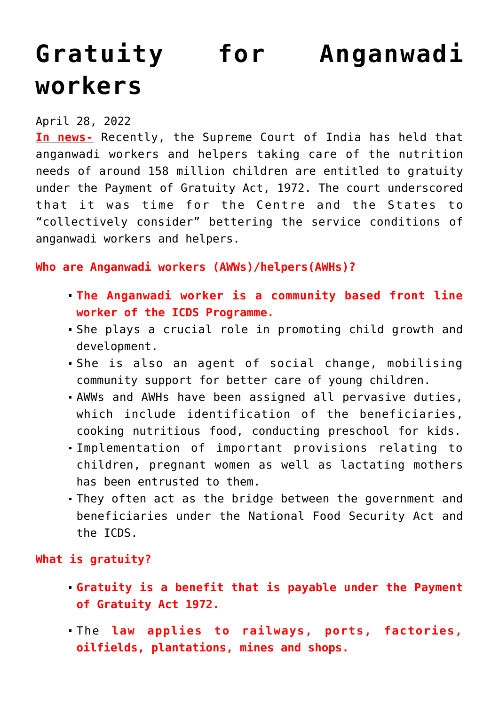## **[Gratuity for Anganwadi](https://journalsofindia.com/gratuity-for-anganwadi-workers/) [workers](https://journalsofindia.com/gratuity-for-anganwadi-workers/)**

## April 28, 2022

**In news-** Recently, the Supreme Court of India has held that anganwadi workers and helpers taking care of the nutrition needs of around 158 million children are entitled to gratuity under the Payment of Gratuity Act, 1972. The court underscored that it was time for the Centre and the States to "collectively consider" bettering the service conditions of anganwadi workers and helpers.

**Who are Anganwadi workers (AWWs)/helpers(AWHs)?**

- **The Anganwadi worker is a community based front line worker of the ICDS Programme.**
- She plays a crucial role in promoting child growth and development.
- She is also an agent of social change, mobilising community support for better care of young children.
- AWWs and AWHs have been assigned all pervasive duties, which include identification of the beneficiaries, cooking nutritious food, conducting preschool for kids.
- Implementation of important provisions relating to children, pregnant women as well as lactating mothers has been entrusted to them.
- They often act as the bridge between the government and beneficiaries under the National Food Security Act and the ICDS.

**What is gratuity?**

- **Gratuity is a benefit that is payable under the Payment of Gratuity Act 1972.**
- The **law applies to railways, ports, factories, oilfields, plantations, mines and shops.**